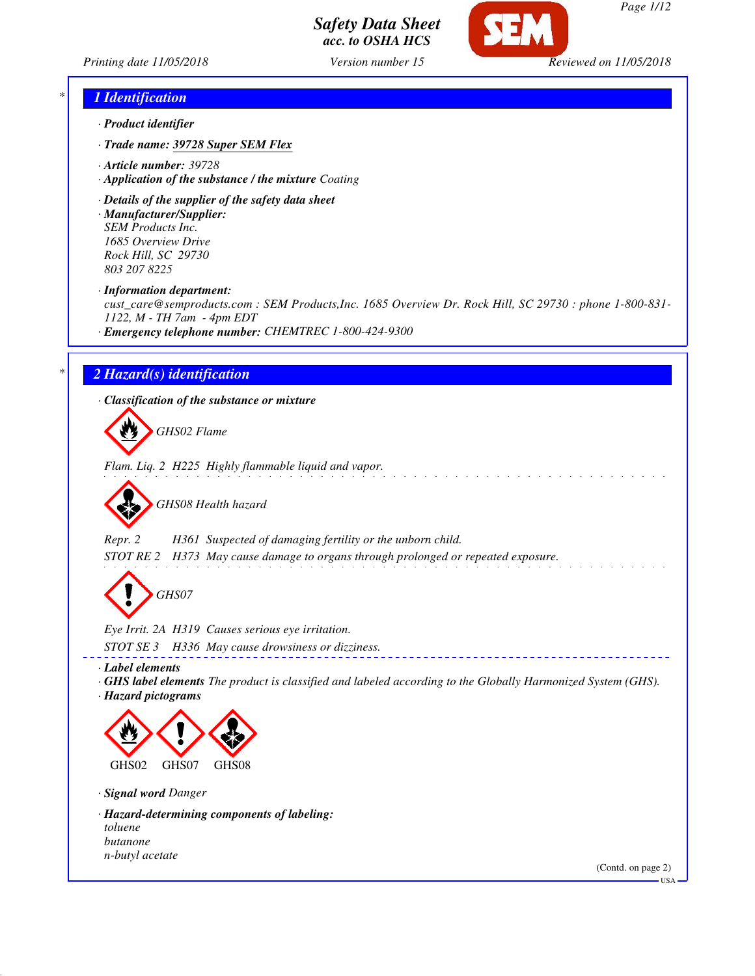



\_\_\_\_\_\_\_\_\_\_\_\_\_\_\_\_\_\_\_\_\_\_\_\_\_\_\_\_

*Page 1/12*

### *\* 1 Identification*

- *· Product identifier*
- *· Trade name: 39728 Super SEM Flex*
- *· Article number: 39728*
- *· Application of the substance / the mixture Coating*
- *· Details of the supplier of the safety data sheet*
- *· Manufacturer/Supplier: SEM Products Inc. 1685 Overview Drive Rock Hill, SC 29730 803 207 8225*
- *· Information department:*

*cust\_care@semproducts.com : SEM Products,Inc. 1685 Overview Dr. Rock Hill, SC 29730 : phone 1-800-831- 1122, M - TH 7am - 4pm EDT*

*· Emergency telephone number: CHEMTREC 1-800-424-9300*

#### *\* 2 Hazard(s) identification*

*· Classification of the substance or mixture*

*GHS02 Flame*

*Flam. Liq. 2 H225 Highly flammable liquid and vapor.*



*Repr. 2 H361 Suspected of damaging fertility or the unborn child. STOT RE 2 H373 May cause damage to organs through prolonged or repeated exposure.*

*GHS07*

*Eye Irrit. 2A H319 Causes serious eye irritation. STOT SE 3 H336 May cause drowsiness or dizziness.*

*· Label elements*

*· GHS label elements The product is classified and labeled according to the Globally Harmonized System (GHS). · Hazard pictograms*



*· Signal word Danger*

*· Hazard-determining components of labeling: toluene butanone n-butyl acetate*

(Contd. on page 2)

 $-<sub>USA</sub>$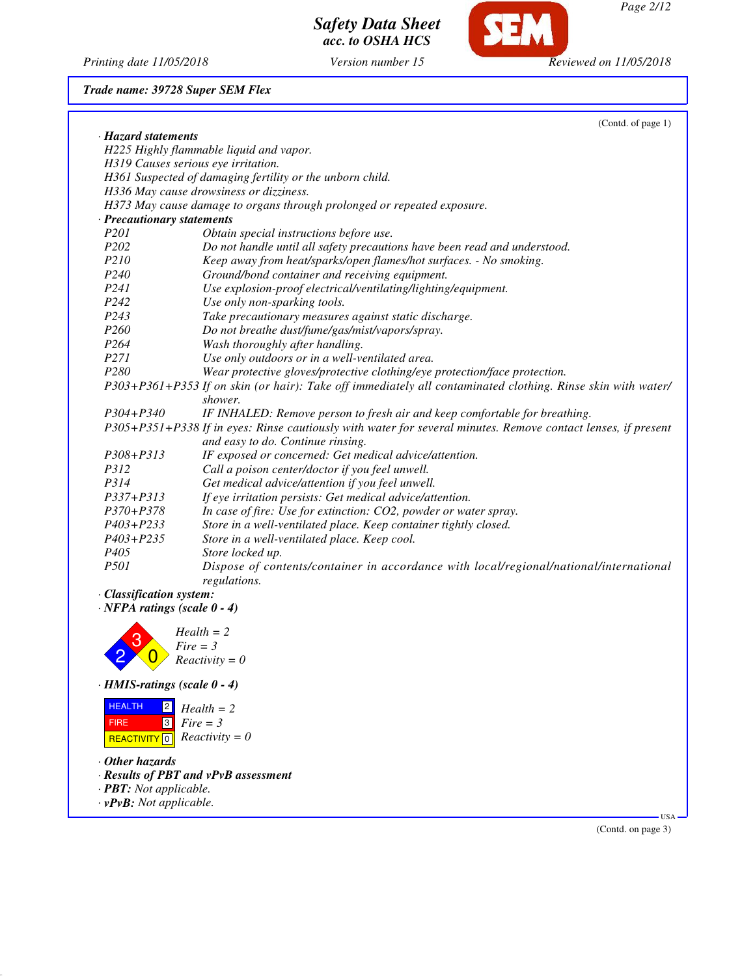

*Printing date 11/05/2018 Version number 15 Reviewed on 11/05/2018*

#### *Trade name: 39728 Super SEM Flex*

|                                     | (Contd. of page 1)                                                                                                     |
|-------------------------------------|------------------------------------------------------------------------------------------------------------------------|
| · Hazard statements                 |                                                                                                                        |
|                                     | H225 Highly flammable liquid and vapor.                                                                                |
| H319 Causes serious eye irritation. |                                                                                                                        |
|                                     | H361 Suspected of damaging fertility or the unborn child.                                                              |
|                                     | H336 May cause drowsiness or dizziness.                                                                                |
|                                     | H373 May cause damage to organs through prolonged or repeated exposure.                                                |
| · Precautionary statements          |                                                                                                                        |
| P201                                | Obtain special instructions before use.                                                                                |
| P <sub>202</sub>                    | Do not handle until all safety precautions have been read and understood.                                              |
| P210                                | Keep away from heat/sparks/open flames/hot surfaces. - No smoking.                                                     |
| P <sub>240</sub>                    | Ground/bond container and receiving equipment.                                                                         |
| P241                                | Use explosion-proof electrical/ventilating/lighting/equipment.                                                         |
| P242                                | Use only non-sparking tools.                                                                                           |
| P243                                | Take precautionary measures against static discharge.                                                                  |
| P <sub>260</sub>                    | Do not breathe dust/fume/gas/mist/vapors/spray.                                                                        |
| P <sub>264</sub>                    | Wash thoroughly after handling.                                                                                        |
| P271                                | Use only outdoors or in a well-ventilated area.                                                                        |
| P <sub>280</sub>                    | Wear protective gloves/protective clothing/eye protection/face protection.                                             |
|                                     | P303+P361+P353 If on skin (or hair): Take off immediately all contaminated clothing. Rinse skin with water/<br>shower. |
| P304+P340                           | IF INHALED: Remove person to fresh air and keep comfortable for breathing.                                             |
|                                     | P305+P351+P338 If in eyes: Rinse cautiously with water for several minutes. Remove contact lenses, if present          |
|                                     | and easy to do. Continue rinsing.                                                                                      |
| P308+P313                           | IF exposed or concerned: Get medical advice/attention.                                                                 |
| P312                                | Call a poison center/doctor if you feel unwell.                                                                        |
| P314                                | Get medical advice/attention if you feel unwell.                                                                       |
| P337+P313                           | If eye irritation persists: Get medical advice/attention.                                                              |
| P370+P378                           | In case of fire: Use for extinction: CO2, powder or water spray.                                                       |
| $P403 + P233$                       | Store in a well-ventilated place. Keep container tightly closed.                                                       |
| $P403 + P235$                       | Store in a well-ventilated place. Keep cool.                                                                           |
| P <sub>405</sub>                    | Store locked up.                                                                                                       |
| P501                                | Dispose of contents/container in accordance with local/regional/national/international                                 |
|                                     | regulations.                                                                                                           |
| · Classification system:            |                                                                                                                        |
| $\cdot$ NFPA ratings (scale 0 - 4)  |                                                                                                                        |
|                                     | $Health = 2$                                                                                                           |
| $Fire = 3$                          |                                                                                                                        |
|                                     | $Reactivity = 0$                                                                                                       |

*· HMIS-ratings (scale 0 - 4)*



- *· Other hazards*
- *· Results of PBT and vPvB assessment*
- *· PBT: Not applicable.*
- *· vPvB: Not applicable.*

(Contd. on page 3)

US/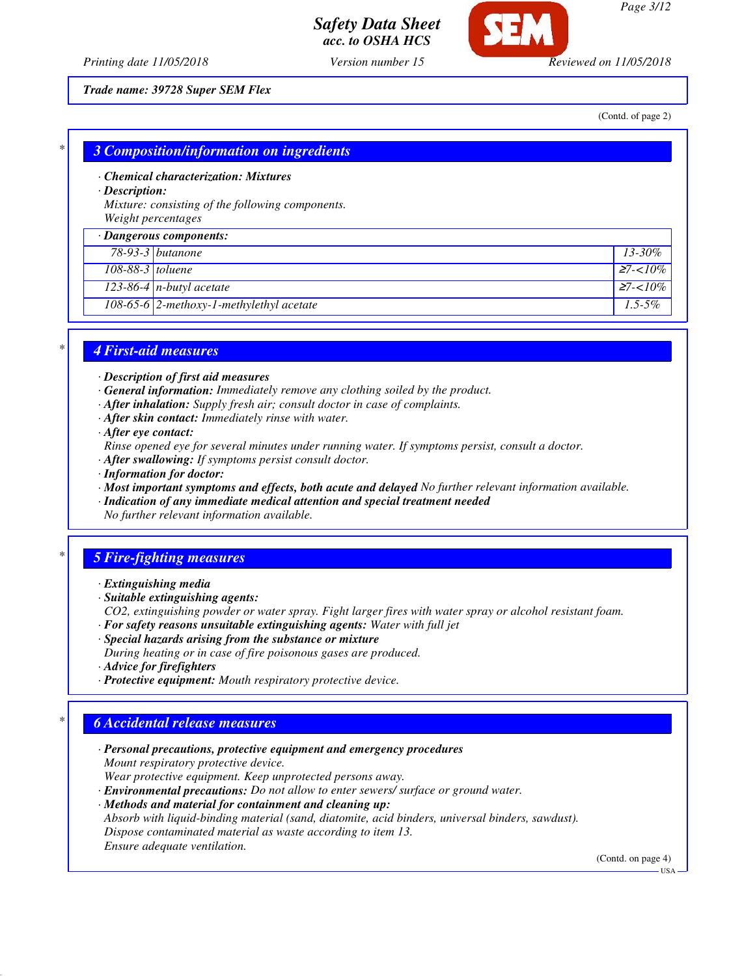*Page 3/12*

*Printing date 11/05/2018 Version number 15 Reviewed on 11/05/2018*

*Trade name: 39728 Super SEM Flex*

(Contd. of page 2)

| $*1$ |  |  |  |  |                                                        |  |  |  |
|------|--|--|--|--|--------------------------------------------------------|--|--|--|
|      |  |  |  |  | <u><b>3 Composition/information on ingredients</b></u> |  |  |  |
|      |  |  |  |  |                                                        |  |  |  |

*· Chemical characterization: Mixtures*

*· Description:*

*Mixture: consisting of the following components. Weight percentages*

|                    | · Dangerous components:                     |             |
|--------------------|---------------------------------------------|-------------|
|                    | $78-93-3$ butanone                          | $13 - 30\%$ |
| $108-88-3$ toluene |                                             | $27 - 10\%$ |
|                    | $123-86-4$ n-butyl acetate                  | $27 - 10\%$ |
|                    | 108-65-6 $2$ -methoxy-1-methylethyl acetate | $1.5 - 5\%$ |

### *\* 4 First-aid measures*

- *· Description of first aid measures*
- *· General information: Immediately remove any clothing soiled by the product.*
- *· After inhalation: Supply fresh air; consult doctor in case of complaints.*
- *· After skin contact: Immediately rinse with water.*
- *· After eye contact:*
- *Rinse opened eye for several minutes under running water. If symptoms persist, consult a doctor.*
- *· After swallowing: If symptoms persist consult doctor.*
- *· Information for doctor:*
- *· Most important symptoms and effects, both acute and delayed No further relevant information available.*
- *· Indication of any immediate medical attention and special treatment needed*

*No further relevant information available.*

## *\* 5 Fire-fighting measures*

- *· Extinguishing media*
- *· Suitable extinguishing agents:*

*CO2, extinguishing powder or water spray. Fight larger fires with water spray or alcohol resistant foam.*

- *· For safety reasons unsuitable extinguishing agents: Water with full jet*
- *· Special hazards arising from the substance or mixture*
- *During heating or in case of fire poisonous gases are produced.*
- *· Advice for firefighters*
- *· Protective equipment: Mouth respiratory protective device.*

## *\* 6 Accidental release measures*

- *· Personal precautions, protective equipment and emergency procedures Mount respiratory protective device. Wear protective equipment. Keep unprotected persons away.*
- *· Environmental precautions: Do not allow to enter sewers/ surface or ground water.*

*· Methods and material for containment and cleaning up:*

*Absorb with liquid-binding material (sand, diatomite, acid binders, universal binders, sawdust). Dispose contaminated material as waste according to item 13. Ensure adequate ventilation.*

(Contd. on page 4)

USA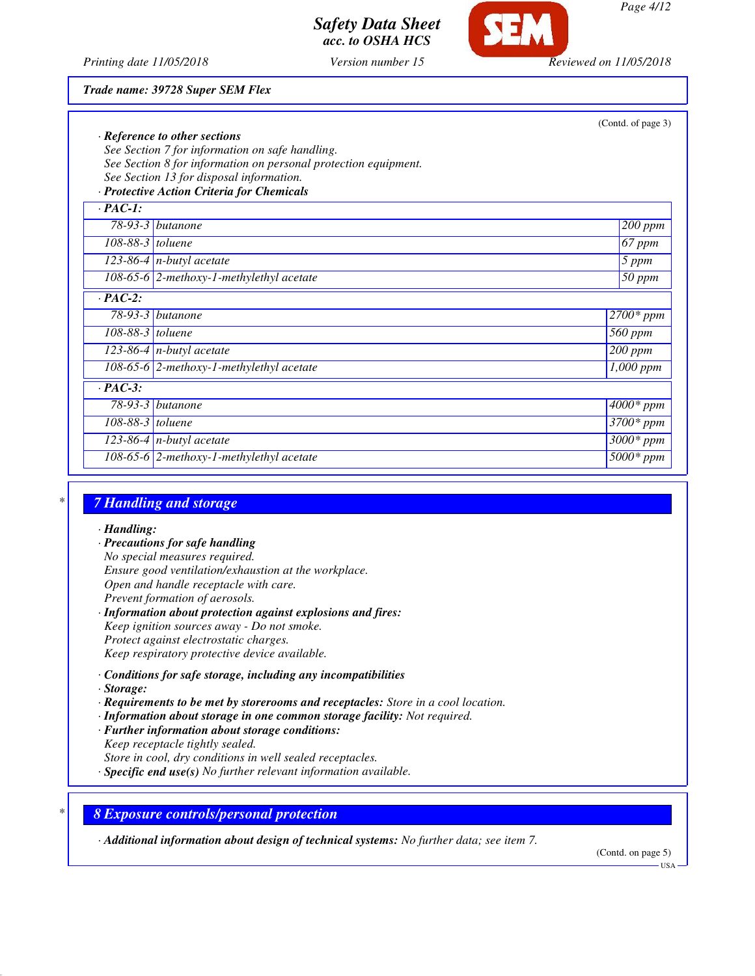

*Printing date 11/05/2018 Version number 15 Reviewed on 11/05/2018*

#### *Trade name: 39728 Super SEM Flex*

|                    | · Reference to other sections                                   | (Contd. of page 3)   |
|--------------------|-----------------------------------------------------------------|----------------------|
|                    | See Section 7 for information on safe handling.                 |                      |
|                    | See Section 8 for information on personal protection equipment. |                      |
|                    | See Section 13 for disposal information.                        |                      |
|                    | · Protective Action Criteria for Chemicals                      |                      |
| $\cdot$ PAC-1:     |                                                                 |                      |
|                    | $78-93-3$ butanone                                              | $200$ ppm            |
| $108-88-3$ toluene |                                                                 | 67 ppm               |
|                    | 123-86-4 $n$ -butyl acetate                                     | 5 ppm                |
|                    | $108-65-6$ 2-methoxy-1-methylethyl acetate                      | 50 ppm               |
| $\cdot$ PAC-2:     |                                                                 |                      |
|                    | $78-93-3$ butanone                                              | $2700*$ ppm          |
| 108-88-3 toluene   |                                                                 | 560 ppm              |
|                    | 123-86-4 $n$ -butyl acetate                                     | $\overline{200}$ ppm |
|                    | 108-65-6 $ 2$ -methoxy-1-methylethyl acetate                    | $1,000$ ppm          |
| $\cdot$ PAC-3:     |                                                                 |                      |
|                    | $78-93-3$ butanone                                              | $4000*$ ppm          |
| 108-88-3 toluene   |                                                                 | $3700*$ ppm          |
|                    | $123-86-4$ n-butyl acetate                                      | $3000*$ ppm          |
|                    | 108-65-6 2-methoxy-1-methylethyl acetate                        | $5000*$ ppm          |

## *\* 7 Handling and storage*

*· Handling:*

*· Precautions for safe handling No special measures required. Ensure good ventilation/exhaustion at the workplace. Open and handle receptacle with care. Prevent formation of aerosols.*

*· Information about protection against explosions and fires: Keep ignition sources away - Do not smoke. Protect against electrostatic charges. Keep respiratory protective device available.*

- *· Conditions for safe storage, including any incompatibilities*
- *· Storage:*
- *· Requirements to be met by storerooms and receptacles: Store in a cool location.*
- *· Information about storage in one common storage facility: Not required.*
- *· Further information about storage conditions:*
- *Keep receptacle tightly sealed.*
- *Store in cool, dry conditions in well sealed receptacles.*
- *· Specific end use(s) No further relevant information available.*

*\* 8 Exposure controls/personal protection*

*· Additional information about design of technical systems: No further data; see item 7.*

(Contd. on page 5) USA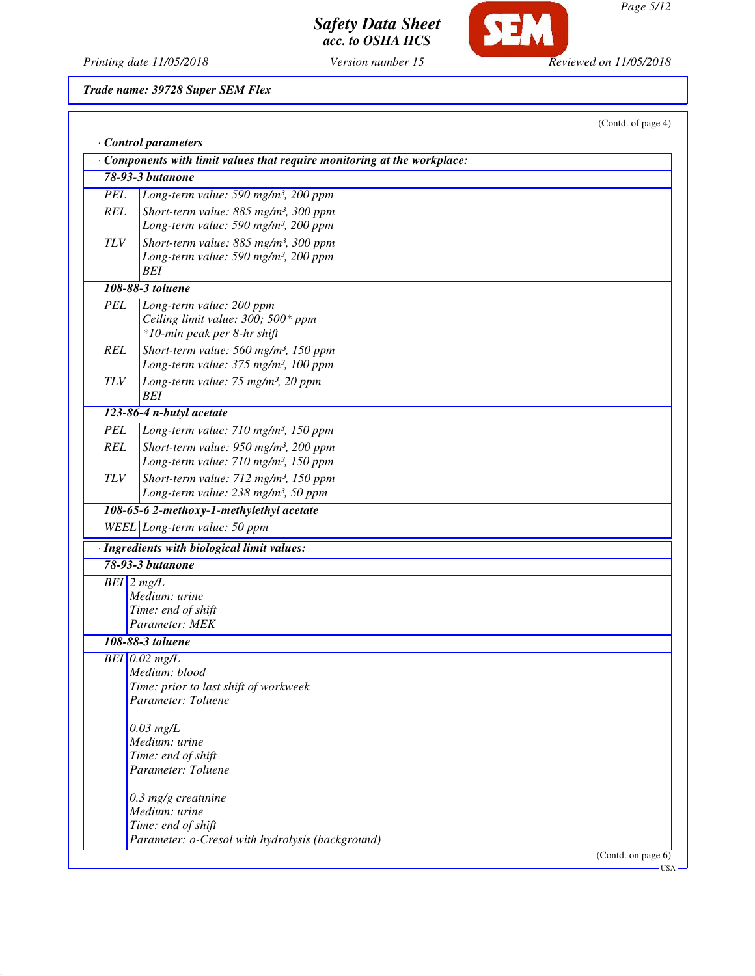*Printing date 11/05/2018 Version number 15 Reviewed on 11/05/2018*

*Trade name: 39728 Super SEM Flex*

|            |                                                                        | (Contd. of page 4) |
|------------|------------------------------------------------------------------------|--------------------|
|            | Control parameters                                                     |                    |
|            | Components with limit values that require monitoring at the workplace: |                    |
|            | <b>78-93-3 butanone</b>                                                |                    |
| <b>PEL</b> | Long-term value: 590 mg/m <sup>3</sup> , 200 ppm                       |                    |
| <b>REL</b> | Short-term value: 885 mg/m <sup>3</sup> , 300 ppm                      |                    |
|            | Long-term value: 590 mg/m <sup>3</sup> , 200 ppm                       |                    |
| <b>TLV</b> | Short-term value: 885 mg/m <sup>3</sup> , 300 ppm                      |                    |
|            | Long-term value: 590 mg/m <sup>3</sup> , 200 ppm                       |                    |
|            | BEI<br>108-88-3 toluene                                                |                    |
| <b>PEL</b> | Long-term value: 200 ppm                                               |                    |
|            | Ceiling limit value: 300; 500* ppm                                     |                    |
|            | *10-min peak per 8-hr shift                                            |                    |
| <b>REL</b> | Short-term value: 560 mg/m <sup>3</sup> , 150 ppm                      |                    |
|            | Long-term value: 375 mg/m <sup>3</sup> , 100 ppm                       |                    |
| <b>TLV</b> | Long-term value: 75 mg/m <sup>3</sup> , 20 ppm                         |                    |
|            | <b>BEI</b>                                                             |                    |
|            | 123-86-4 n-butyl acetate                                               |                    |
| <b>PEL</b> | Long-term value: 710 mg/m <sup>3</sup> , 150 ppm                       |                    |
| <b>REL</b> | Short-term value: 950 mg/m <sup>3</sup> , 200 ppm                      |                    |
|            | Long-term value: 710 mg/m <sup>3</sup> , 150 ppm                       |                    |
| <b>TLV</b> | Short-term value: 712 mg/m <sup>3</sup> , 150 ppm                      |                    |
|            | Long-term value: 238 mg/m <sup>3</sup> , 50 ppm                        |                    |
|            | 108-65-6 2-methoxy-1-methylethyl acetate                               |                    |
|            | WEEL Long-term value: 50 ppm                                           |                    |
|            | · Ingredients with biological limit values:                            |                    |
|            | 78-93-3 butanone                                                       |                    |
|            | $BEI$ 2 mg/L                                                           |                    |
|            | Medium: urine                                                          |                    |
|            | Time: end of shift<br>Parameter: MEK                                   |                    |
|            | 108-88-3 toluene                                                       |                    |
|            | $BEI$ 0.02 mg/L                                                        |                    |
|            | Medium: blood                                                          |                    |
|            | Time: prior to last shift of workweek                                  |                    |
|            | Parameter: Toluene                                                     |                    |
|            |                                                                        |                    |
|            | $0.03$ mg/L<br>Medium: urine                                           |                    |
|            | Time: end of shift                                                     |                    |
|            | Parameter: Toluene                                                     |                    |
|            |                                                                        |                    |
|            | $0.3$ mg/g creatinine                                                  |                    |
|            | Medium: urine<br>Time: end of shift                                    |                    |
|            | Parameter: o-Cresol with hydrolysis (background)                       |                    |
|            |                                                                        |                    |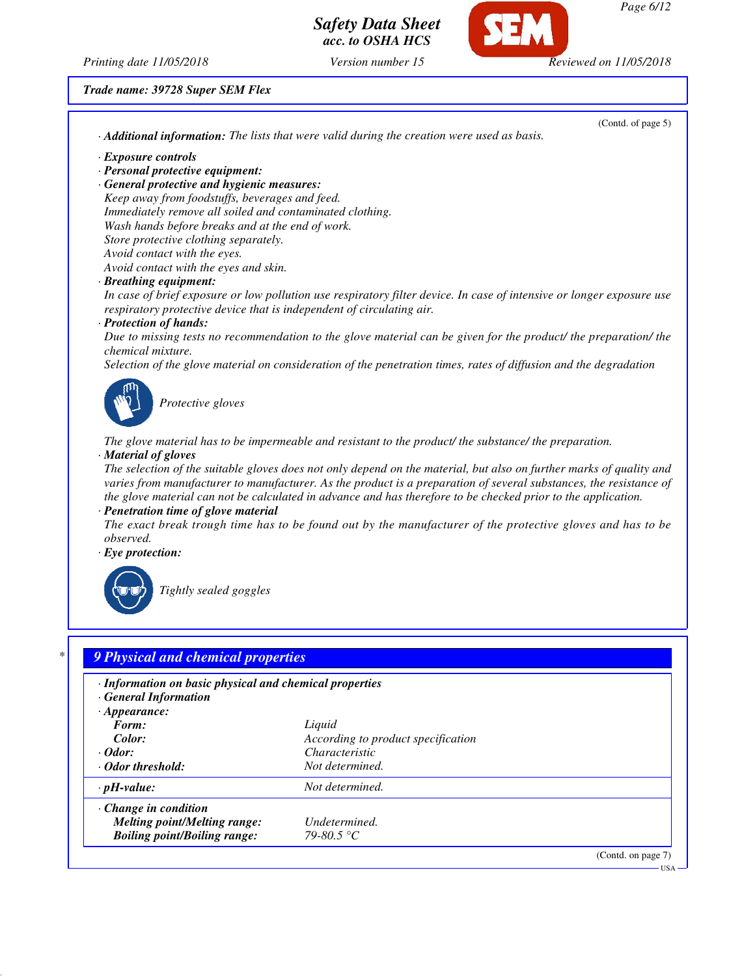

*Printing date 11/05/2018 Version number 15 Reviewed on 11/05/2018*

## *Trade name: 39728 Super SEM Flex*

| (Contd. of page 5)                                                                                                    |
|-----------------------------------------------------------------------------------------------------------------------|
| · Additional information: The lists that were valid during the creation were used as basis.                           |
|                                                                                                                       |
|                                                                                                                       |
| · General protective and hygienic measures:                                                                           |
| Keep away from foodstuffs, beverages and feed.                                                                        |
| Immediately remove all soiled and contaminated clothing.                                                              |
| Wash hands before breaks and at the end of work.                                                                      |
|                                                                                                                       |
|                                                                                                                       |
| Avoid contact with the eyes and skin.                                                                                 |
|                                                                                                                       |
| In case of brief exposure or low pollution use respiratory filter device. In case of intensive or longer exposure use |
| respiratory protective device that is independent of circulating air.                                                 |
|                                                                                                                       |
| Due to missing tests no recommendation to the glove material can be given for the product/ the preparation/ the       |
|                                                                                                                       |
| Selection of the glove material on consideration of the penetration times, rates of diffusion and the degradation     |
|                                                                                                                       |
|                                                                                                                       |
|                                                                                                                       |
|                                                                                                                       |
| The glove material has to be impermeable and resistant to the product/ the substance/ the preparation.                |
|                                                                                                                       |
| The selection of the suitable gloves does not only depend on the material, but also on further marks of quality and   |
| varies from manufacturer to manufacturer. As the product is a preparation of several substances, the resistance of    |
| the glove material can not be calculated in advance and has therefore to be checked prior to the application.         |
|                                                                                                                       |
| The exact break trough time has to be found out by the manufacturer of the protective gloves and has to be            |
|                                                                                                                       |
|                                                                                                                       |
|                                                                                                                       |
|                                                                                                                       |
|                                                                                                                       |
|                                                                                                                       |
|                                                                                                                       |
|                                                                                                                       |
| 9 Physical and chemical properties                                                                                    |
|                                                                                                                       |
| · Information on basic physical and chemical properties                                                               |
|                                                                                                                       |
|                                                                                                                       |
| Liquid                                                                                                                |
| According to product specification                                                                                    |
| Characteristic                                                                                                        |
| Not determined.                                                                                                       |
| Not determined.                                                                                                       |
|                                                                                                                       |
| Undetermined.                                                                                                         |
|                                                                                                                       |

*Boiling point/Boiling range: 79-80.5 °C*

(Contd. on page 7)

USA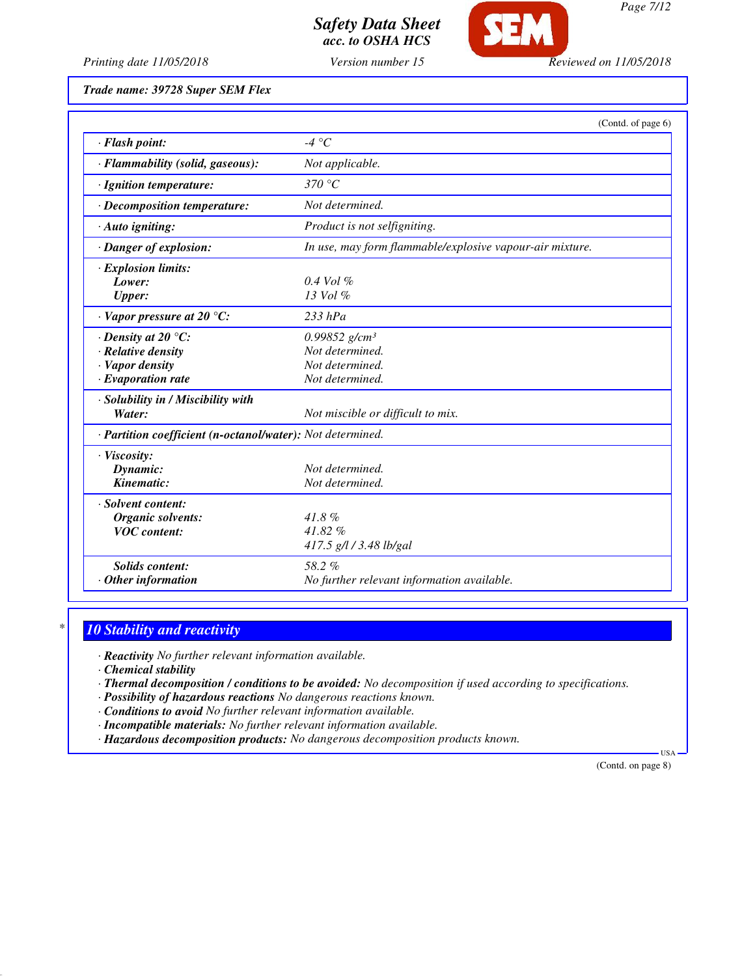

*Page 7/12*

*Printing date 11/05/2018 Version number 15 Reviewed on 11/05/2018*

*Trade name: 39728 Super SEM Flex*

|                                                            | (Contd. of page 6)                                       |
|------------------------------------------------------------|----------------------------------------------------------|
| · Flash point:                                             | -4 °C                                                    |
| · Flammability (solid, gaseous):                           | Not applicable.                                          |
| · Ignition temperature:                                    | 370 °C                                                   |
| · Decomposition temperature:                               | Not determined.                                          |
| · Auto igniting:                                           | Product is not selfigniting.                             |
| · Danger of explosion:                                     | In use, may form flammable/explosive vapour-air mixture. |
| · Explosion limits:                                        |                                                          |
| Lower:                                                     | $0.4$ Vol $\%$                                           |
| <b>Upper:</b>                                              | $13$ Vol $\%$                                            |
| $\cdot$ Vapor pressure at 20 °C:                           | $233$ hPa                                                |
| $\cdot$ Density at 20 °C:                                  | $0.99852$ g/cm <sup>3</sup>                              |
| · Relative density                                         | Not determined.                                          |
| · Vapor density                                            | Not determined.                                          |
| $\cdot$ Evaporation rate                                   | Not determined.                                          |
| · Solubility in / Miscibility with                         |                                                          |
| Water:                                                     | Not miscible or difficult to mix.                        |
| · Partition coefficient (n-octanol/water): Not determined. |                                                          |
| · Viscosity:                                               |                                                          |
| Dynamic:                                                   | Not determined.                                          |
| Kinematic:                                                 | Not determined.                                          |
| · Solvent content:                                         |                                                          |
| Organic solvents:                                          | $41.8\%$                                                 |
| <b>VOC</b> content:                                        | 41.82%                                                   |
|                                                            | 417.5 g/l / 3.48 lb/gal                                  |
| <b>Solids</b> content:                                     | 58.2%                                                    |
| Other information                                          | No further relevant information available.               |

## *\* 10 Stability and reactivity*

*· Reactivity No further relevant information available.*

*· Chemical stability*

*· Thermal decomposition / conditions to be avoided: No decomposition if used according to specifications.*

*· Possibility of hazardous reactions No dangerous reactions known.*

*· Conditions to avoid No further relevant information available.*

- *· Incompatible materials: No further relevant information available.*
- *· Hazardous decomposition products: No dangerous decomposition products known.*

(Contd. on page 8)

USA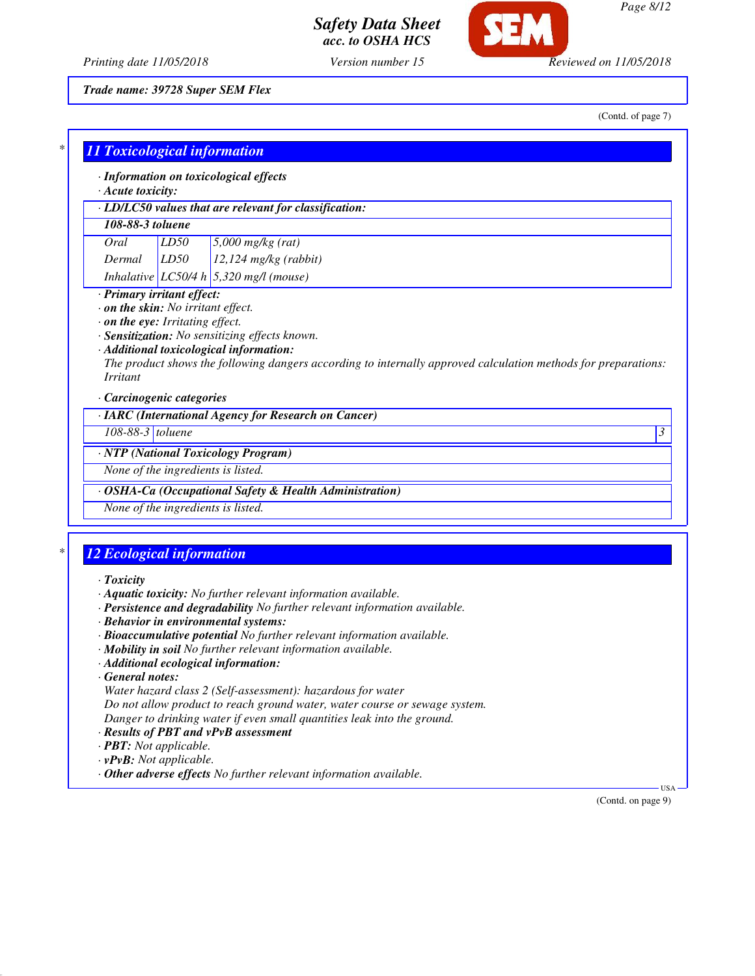

*Printing date 11/05/2018 Version number 15 Reviewed on 11/05/2018*

*Trade name: 39728 Super SEM Flex*

(Contd. of page 7)

| <b>11 Toxicological information</b> |      |                                                                                                                    |
|-------------------------------------|------|--------------------------------------------------------------------------------------------------------------------|
|                                     |      | · Information on toxicological effects                                                                             |
| · Acute toxicity:                   |      |                                                                                                                    |
|                                     |      | · LD/LC50 values that are relevant for classification:                                                             |
| 108-88-3 toluene                    |      |                                                                                                                    |
| Oral                                | LD50 | $5,000$ mg/kg (rat)                                                                                                |
| Dermal                              | LD50 | $12,124$ mg/kg (rabbit)                                                                                            |
|                                     |      | Inhalative LC50/4 h 5,320 mg/l (mouse)                                                                             |
| · Primary irritant effect:          |      |                                                                                                                    |
| . on the skin: No irritant effect.  |      |                                                                                                                    |
| . on the eye: Irritating effect.    |      | · Sensitization: No sensitizing effects known.                                                                     |
|                                     |      | · Additional toxicological information:                                                                            |
|                                     |      | The product shows the following dangers according to internally approved calculation methods for preparations:     |
| <i>Irritant</i>                     |      |                                                                                                                    |
| · Carcinogenic categories           |      |                                                                                                                    |
|                                     |      | · IARC (International Agency for Research on Cancer)                                                               |
| 108-88-3 toluene                    |      | $\overline{\mathcal{E}}$                                                                                           |
|                                     |      | · NTP (National Toxicology Program)                                                                                |
| None of the ingredients is listed.  |      |                                                                                                                    |
|                                     |      | · OSHA-Ca (Occupational Safety & Health Administration)                                                            |
| None of the ingredients is listed.  |      |                                                                                                                    |
|                                     |      |                                                                                                                    |
| <b>12 Ecological information</b>    |      |                                                                                                                    |
|                                     |      |                                                                                                                    |
| $T$ <i>oxicity</i>                  |      |                                                                                                                    |
|                                     |      | · Aquatic toxicity: No further relevant information available.                                                     |
|                                     |      | · Persistence and degradability No further relevant information available.<br>· Behavior in environmental systems: |
|                                     |      | · Bioaccumulative potential No further relevant information available.                                             |
|                                     |      | · Mobility in soil No further relevant information available.                                                      |
|                                     |      | · Additional ecological information:                                                                               |
| $\cdot$ General notes:              |      |                                                                                                                    |
|                                     |      | Water hazard class 2 (Self-assessment): hazardous for water                                                        |
|                                     |      | Do not allow product to reach ground water, water course or sewage system.                                         |
|                                     |      | Danger to drinking water if even small quantities leak into the ground.<br>· Results of PBT and vPvB assessment    |
| · PBT: Not applicable.              |      |                                                                                                                    |

- *· vPvB: Not applicable.*
- *· Other adverse effects No further relevant information available.*

(Contd. on page 9)

USA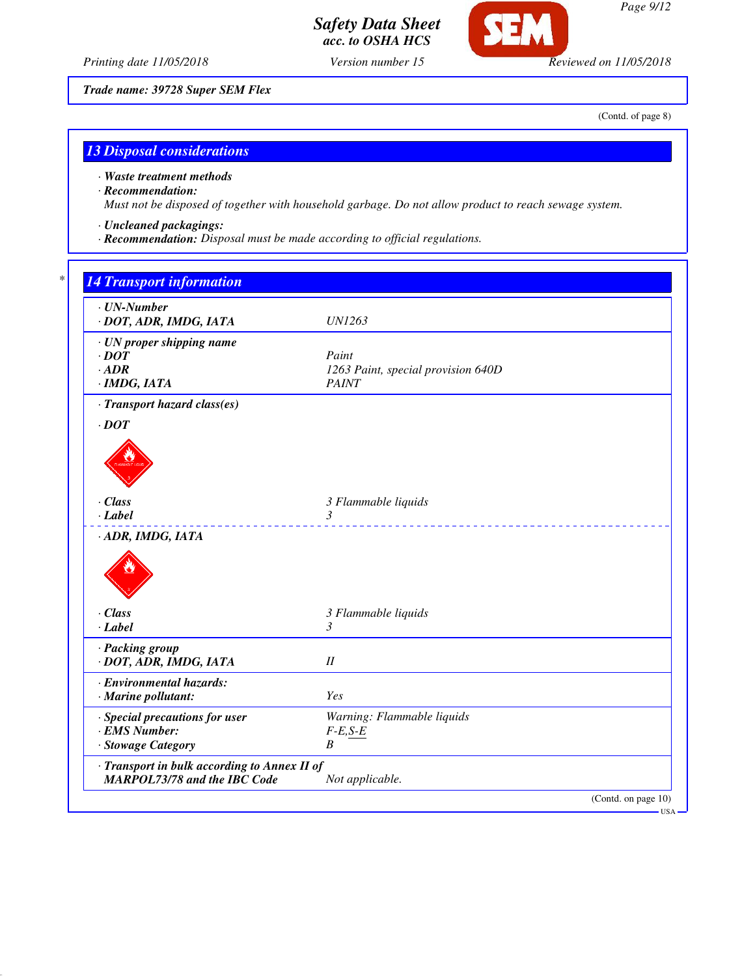

*Page 9/12*

*Printing date 11/05/2018 Version number 15 Reviewed on 11/05/2018*

*Trade name: 39728 Super SEM Flex*

(Contd. of page 8)

## *13 Disposal considerations*

### *· Waste treatment methods*

## *· Recommendation:*

*Must not be disposed of together with household garbage. Do not allow product to reach sewage system.*

## *· Uncleaned packagings:*

*· Recommendation: Disposal must be made according to official regulations.*

# *\* 14 Transport information · UN-Number · DOT, ADR, IMDG, IATA UN1263 · UN proper shipping name · DOT Paint · ADR 1263 Paint, special provision 640D · IMDG, IATA PAINT · Transport hazard class(es) · DOT · Class 3 Flammable liquids · Label 3 · ADR, IMDG, IATA · Class 3 Flammable liquids · Label 3 · Packing group · DOT, ADR, IMDG, IATA II · Environmental hazards: · Marine pollutant: Yes · Special precautions for user Warning: Flammable liquids*  $\cdot$  *EMS Number: · Stowage Category B · Transport in bulk according to Annex II of MARPOL73/78 and the IBC Code Not applicable.* (Contd. on page 10) USA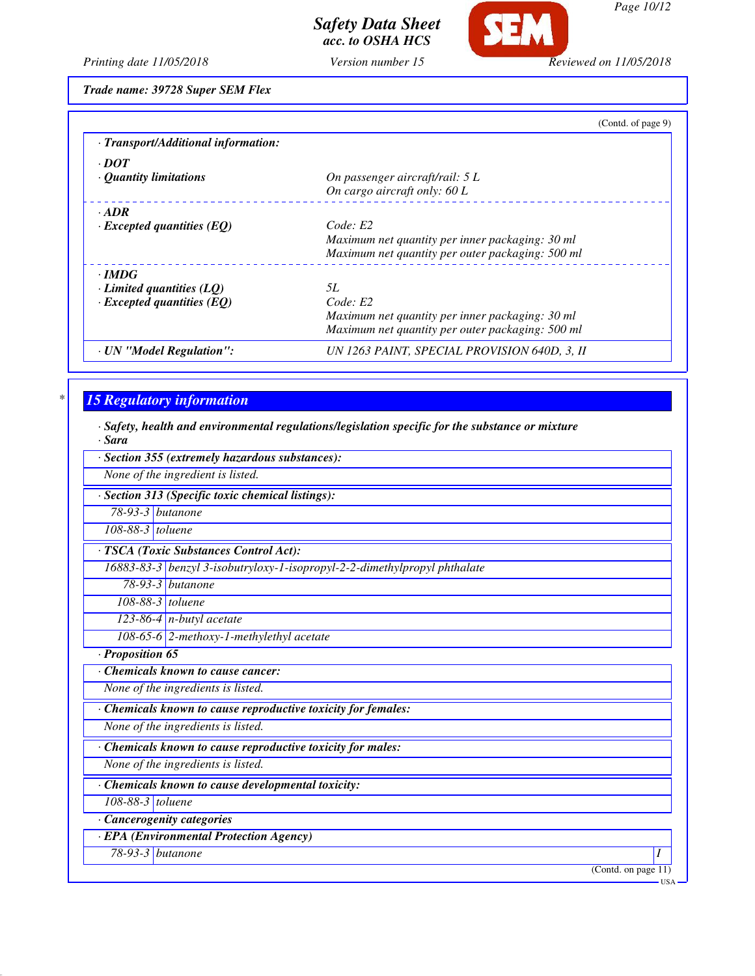

SEM

*Page 10/12*

*Printing date 11/05/2018 Version number 15 Reviewed on 11/05/2018*

*Trade name: 39728 Super SEM Flex*

|                                     | (Contd. of page 9)                               |
|-------------------------------------|--------------------------------------------------|
| · Transport/Additional information: |                                                  |
| $\cdot$ <i>DOT</i>                  |                                                  |
| $\cdot$ Quantity limitations        | On passenger aircraft/rail: 5 L                  |
|                                     | On cargo aircraft only: 60 L                     |
| $-ADR$                              |                                                  |
| $\cdot$ Excepted quantities (EQ)    | Code: E2                                         |
|                                     | Maximum net quantity per inner packaging: 30 ml  |
|                                     | Maximum net quantity per outer packaging: 500 ml |
| $\cdot$ IMDG                        |                                                  |
| $\cdot$ Limited quantities (LQ)     | 5L                                               |
| $\cdot$ Excepted quantities (EQ)    | Code: E2                                         |
|                                     | Maximum net quantity per inner packaging: 30 ml  |
|                                     | Maximum net quantity per outer packaging: 500 ml |
| · UN "Model Regulation":            | UN 1263 PAINT, SPECIAL PROVISION 640D, 3, II     |

## *\* 15 Regulatory information*

*· Safety, health and environmental regulations/legislation specific for the substance or mixture*

*· Sara*

|                  | · Section 355 (extremely hazardous substances):                           |
|------------------|---------------------------------------------------------------------------|
|                  | None of the ingredient is listed.                                         |
|                  | · Section 313 (Specific toxic chemical listings):                         |
| 78-93-3 butanone |                                                                           |
| 108-88-3 toluene |                                                                           |
|                  | · TSCA (Toxic Substances Control Act):                                    |
|                  | 16883-83-3 benzyl 3-isobutryloxy-1-isopropyl-2-2-dimethylpropyl phthalate |
|                  | $78-93-3$ butanone                                                        |
| 108-88-3 toluene |                                                                           |
|                  | $123-86-4$ n-butyl acetate                                                |
|                  | 108-65-6 2-methoxy-1-methylethyl acetate                                  |
| · Proposition 65 |                                                                           |
|                  | Chemicals known to cause cancer:                                          |
|                  | None of the ingredients is listed.                                        |
|                  | · Chemicals known to cause reproductive toxicity for females:             |
|                  | None of the ingredients is listed.                                        |
|                  | · Chemicals known to cause reproductive toxicity for males:               |
|                  | None of the ingredients is listed.                                        |
|                  | Chemicals known to cause developmental toxicity:                          |
| 108-88-3 toluene |                                                                           |
|                  | · Cancerogenity categories                                                |
|                  | · EPA (Environmental Protection Agency)                                   |
| 78-93-3 butanone | Ι                                                                         |
|                  | (Cond. on page 11)<br>USA.                                                |
|                  |                                                                           |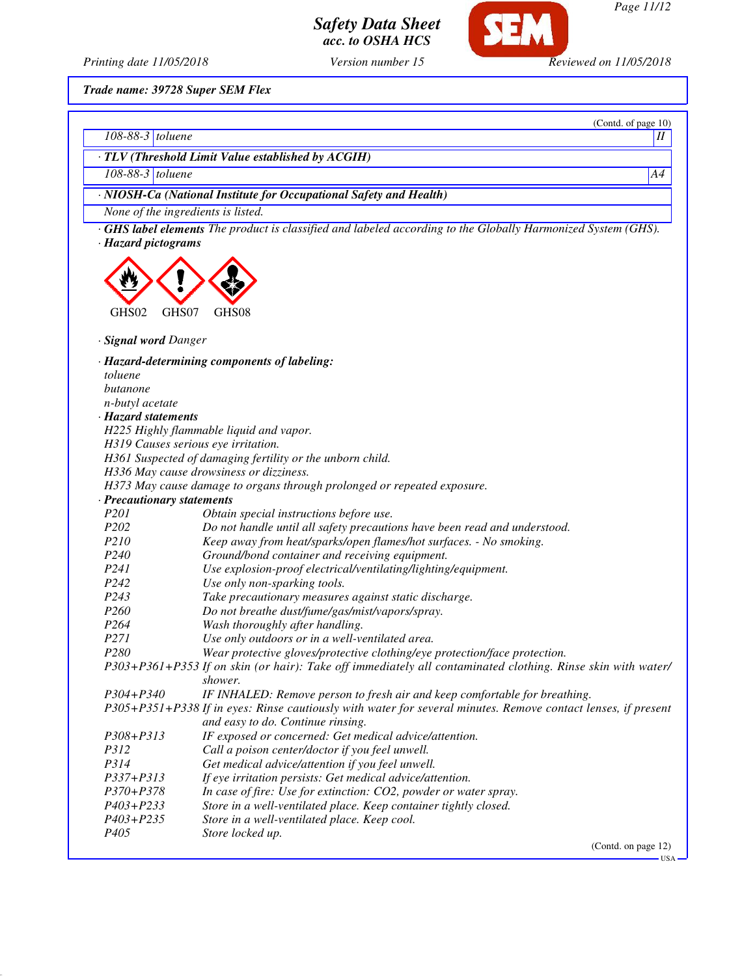**SEM** *Safety Data Sheet*

*acc. to OSHA HCS*

*Page 11/12*

*Printing date 11/05/2018 Version number 15 Reviewed on 11/05/2018*

*Trade name: 39728 Super SEM Flex*

|                               | (Contd. of page 10)                                                                                                |
|-------------------------------|--------------------------------------------------------------------------------------------------------------------|
| $\overline{108-88-3}$ toluene | $\boldsymbol{\mathit{II}}$                                                                                         |
|                               | · TLV (Threshold Limit Value established by ACGIH)                                                                 |
| 108-88-3 toluene              | A4                                                                                                                 |
|                               | · NIOSH-Ca (National Institute for Occupational Safety and Health)                                                 |
|                               | None of the ingredients is listed.                                                                                 |
|                               |                                                                                                                    |
| · Hazard pictograms           | <b>GHS label elements</b> The product is classified and labeled according to the Globally Harmonized System (GHS). |
|                               |                                                                                                                    |
|                               |                                                                                                                    |
|                               |                                                                                                                    |
|                               |                                                                                                                    |
| GHS02                         | GHS07<br>GHS08                                                                                                     |
|                               |                                                                                                                    |
| · Signal word Danger          |                                                                                                                    |
|                               | · Hazard-determining components of labeling:                                                                       |
| toluene                       |                                                                                                                    |
| butanone                      |                                                                                                                    |
| n-butyl acetate               |                                                                                                                    |
| · Hazard statements           |                                                                                                                    |
|                               | H225 Highly flammable liquid and vapor.<br>H319 Causes serious eye irritation.                                     |
|                               | H361 Suspected of damaging fertility or the unborn child.                                                          |
|                               | H336 May cause drowsiness or dizziness.                                                                            |
|                               | H373 May cause damage to organs through prolonged or repeated exposure.                                            |
| · Precautionary statements    |                                                                                                                    |
| P <sub>201</sub>              | Obtain special instructions before use.                                                                            |
| P <sub>202</sub>              | Do not handle until all safety precautions have been read and understood.                                          |
| P210                          | Keep away from heat/sparks/open flames/hot surfaces. - No smoking.                                                 |
| P <sub>240</sub>              | Ground/bond container and receiving equipment.                                                                     |
| P241                          | Use explosion-proof electrical/ventilating/lighting/equipment.                                                     |
| P <sub>242</sub>              | Use only non-sparking tools.                                                                                       |
| P <sub>243</sub>              | Take precautionary measures against static discharge.                                                              |
| P <sub>260</sub>              | Do not breathe dust/fume/gas/mist/vapors/spray.                                                                    |
| P <sub>264</sub>              | Wash thoroughly after handling.                                                                                    |
| P271                          | Use only outdoors or in a well-ventilated area.                                                                    |
| P <sub>280</sub>              | Wear protective gloves/protective clothing/eye protection/face protection.                                         |
|                               | P303+P361+P353 If on skin (or hair): Take off immediately all contaminated clothing. Rinse skin with water/        |
|                               | shower.                                                                                                            |
| P304+P340                     | IF INHALED: Remove person to fresh air and keep comfortable for breathing.                                         |
|                               | P305+P351+P338 If in eyes: Rinse cautiously with water for several minutes. Remove contact lenses, if present      |
|                               | and easy to do. Continue rinsing.                                                                                  |
| P308+P313                     | IF exposed or concerned: Get medical advice/attention.                                                             |
| P312                          | Call a poison center/doctor if you feel unwell.                                                                    |
| P314                          | Get medical advice/attention if you feel unwell.                                                                   |
| P337+P313                     | If eye irritation persists: Get medical advice/attention.                                                          |
| P370+P378                     | In case of fire: Use for extinction: CO2, powder or water spray.                                                   |
| P403+P233                     | Store in a well-ventilated place. Keep container tightly closed.                                                   |
| P403+P235                     | Store in a well-ventilated place. Keep cool.                                                                       |
| P405                          | Store locked up.<br>(Contd. on page 12)                                                                            |
|                               |                                                                                                                    |

 $-$  USA -